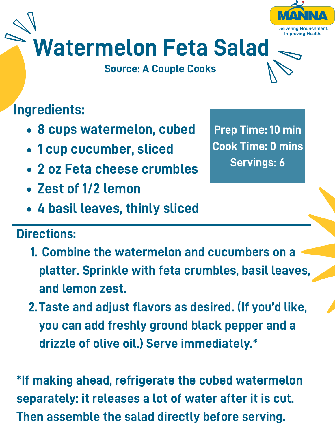# Watermelon Feta Salad

Source: A Couple Cooks

## Ingredients:

- 8 cups watermelon, cubed
- 1 cup cucumber, sliced
- 2 oz Feta cheese crumbles
- Zest of 1/2 lemon
- 4 basil leaves, thinly sliced

#### Directions:

- 1. Combine the watermelon and cucumbers on a platter. Sprinkle with feta crumbles, basil leaves, and lemon zest.
- 2. Taste and adiust flavors as desired. (If you'd like. you can add freshly ground black pepper and a drizzle of olive oil.) Serve immediately.\*

\*If making ahead, refrigerate the cubed watermelon separately: it releases a lot of water after it is cut. Then assemble the salad directly before serving.

Prep Time: 10 min Cook Time: 0 mins Servings: 6

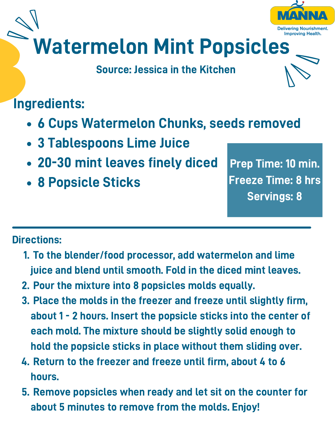

#### Source: Jessica in the Kitchen

### Ingredients:

- 6 Cups Watermelon Chunks, seeds removed
- 3 Tablespoons Lime Juice
- 20-30 mint leaves finely diced
- 8 Popsicle Sticks

Prep Time: 10 min. Freeze Time: 8 hrs Servings: 8

#### Directions:

- 1. To the blender/food processor, add watermelon and lime juice and blend until smooth. Fold in the diced mint leaves.
- 2. Pour the mixture into 8 popsicles molds equally.
- Place the molds in the freezer and freeze until slightly firm, 3. about 1 - 2 hours. Insert the popsicle sticks into the center of each mold. The mixture should be slightly solid enough to hold the popsicle sticks in place without them sliding over.
- 4. Return to the freezer and freeze until firm, about 4 to 6 hours.
- 5. Remove popsicles when ready and let sit on the counter for about 5 minutes to remove from the molds. Enjoy!